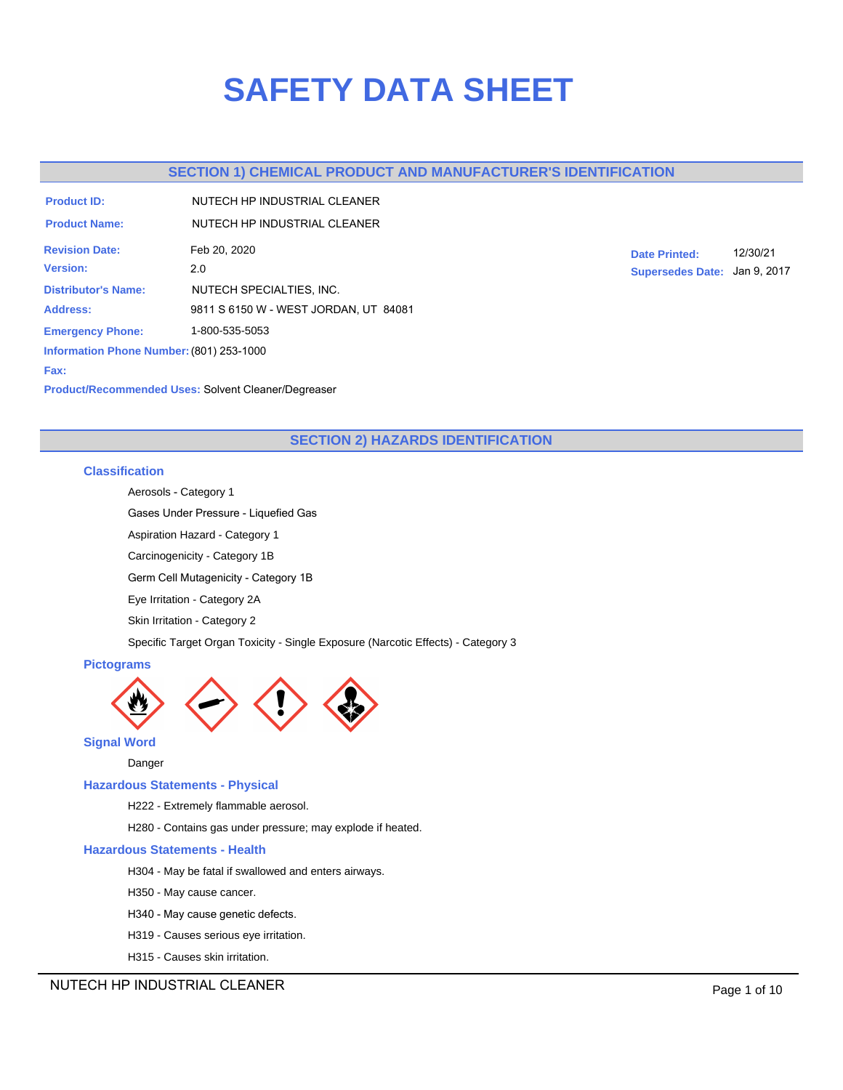# **SAFETY DATA SHEET**

# **SECTION 1) CHEMICAL PRODUCT AND MANUFACTURER'S IDENTIFICATION**

| <b>Product ID:</b>                       | NUTECH HP INDUSTRIAL CLEANER          |  |  |  |  |
|------------------------------------------|---------------------------------------|--|--|--|--|
| <b>Product Name:</b>                     | NUTECH HP INDUSTRIAL CLEANER          |  |  |  |  |
| <b>Revision Date:</b>                    | Feb 20, 2020                          |  |  |  |  |
| <b>Version:</b>                          | 2.0                                   |  |  |  |  |
| <b>Distributor's Name:</b>               | NUTECH SPECIALTIES, INC.              |  |  |  |  |
| <b>Address:</b>                          | 9811 S 6150 W - WEST JORDAN, UT 84081 |  |  |  |  |
| <b>Emergency Phone:</b>                  | 1-800-535-5053                        |  |  |  |  |
| Information Phone Number: (801) 253-1000 |                                       |  |  |  |  |
| Fax:                                     |                                       |  |  |  |  |

**Date Printed:** 12/30/21 **Supersedes Date:** Jan 9, 2017

**Product/Recommended Uses:** Solvent Cleaner/Degreaser

# **SECTION 2) HAZARDS IDENTIFICATION**

## **Classification**

Aerosols - Category 1

Gases Under Pressure - Liquefied Gas

Aspiration Hazard - Category 1

Carcinogenicity - Category 1B

Germ Cell Mutagenicity - Category 1B

Eye Irritation - Category 2A

Skin Irritation - Category 2

Specific Target Organ Toxicity - Single Exposure (Narcotic Effects) - Category 3

## **Pictograms**



**Signal Word**

Danger

## **Hazardous Statements - Physical**

H222 - Extremely flammable aerosol.

H280 - Contains gas under pressure; may explode if heated.

## **Hazardous Statements - Health**

- H304 May be fatal if swallowed and enters airways.
- H350 May cause cancer.
- H340 May cause genetic defects.
- H319 Causes serious eye irritation.
- H315 Causes skin irritation.

NUTECH HP INDUSTRIAL CLEANER **Page 1 of 10**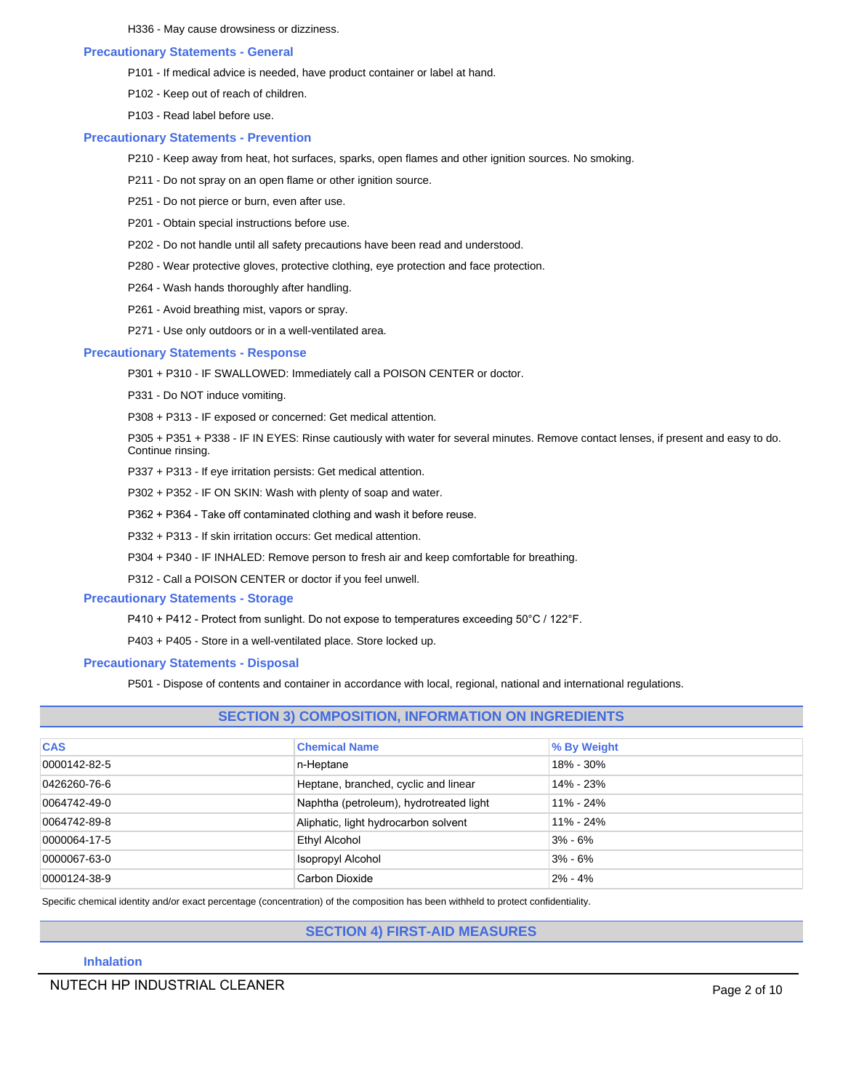H336 - May cause drowsiness or dizziness.

#### **Precautionary Statements - General**

- P101 If medical advice is needed, have product container or label at hand.
- P102 Keep out of reach of children.
- P103 Read label before use.

#### **Precautionary Statements - Prevention**

- P210 Keep away from heat, hot surfaces, sparks, open flames and other ignition sources. No smoking.
- P211 Do not spray on an open flame or other ignition source.
- P251 Do not pierce or burn, even after use.
- P201 Obtain special instructions before use.
- P202 Do not handle until all safety precautions have been read and understood.
- P280 Wear protective gloves, protective clothing, eye protection and face protection.
- P264 Wash hands thoroughly after handling.
- P261 Avoid breathing mist, vapors or spray.
- P271 Use only outdoors or in a well-ventilated area.

#### **Precautionary Statements - Response**

- P301 + P310 IF SWALLOWED: Immediately call a POISON CENTER or doctor.
- P331 Do NOT induce vomiting.
- P308 + P313 IF exposed or concerned: Get medical attention.

P305 + P351 + P338 - IF IN EYES: Rinse cautiously with water for several minutes. Remove contact lenses, if present and easy to do. Continue rinsing.

- P337 + P313 If eye irritation persists: Get medical attention.
- P302 + P352 IF ON SKIN: Wash with plenty of soap and water.
- P362 + P364 Take off contaminated clothing and wash it before reuse.
- P332 + P313 If skin irritation occurs: Get medical attention.
- P304 + P340 IF INHALED: Remove person to fresh air and keep comfortable for breathing.
- P312 Call a POISON CENTER or doctor if you feel unwell.

## **Precautionary Statements - Storage**

- P410 + P412 Protect from sunlight. Do not expose to temperatures exceeding 50°C / 122°F.
- P403 + P405 Store in a well-ventilated place. Store locked up.

## **Precautionary Statements - Disposal**

P501 - Dispose of contents and container in accordance with local, regional, national and international regulations.

| <b>SECTION 3) COMPOSITION, INFORMATION ON INGREDIENTS</b> |                                         |               |  |  |  |  |  |
|-----------------------------------------------------------|-----------------------------------------|---------------|--|--|--|--|--|
| <b>CAS</b><br><b>Chemical Name</b><br>% By Weight         |                                         |               |  |  |  |  |  |
| 0000142-82-5                                              | n-Heptane                               | 18% - 30%     |  |  |  |  |  |
| 0426260-76-6                                              | Heptane, branched, cyclic and linear    | 14% - 23%     |  |  |  |  |  |
| 0064742-49-0                                              | Naphtha (petroleum), hydrotreated light | $11\% - 24\%$ |  |  |  |  |  |
| 0064742-89-8                                              | Aliphatic, light hydrocarbon solvent    | $11\% - 24\%$ |  |  |  |  |  |
| 0000064-17-5                                              | Ethyl Alcohol                           | $3\% - 6\%$   |  |  |  |  |  |
| 0000067-63-0                                              | <b>Isopropyl Alcohol</b>                | $3\% - 6\%$   |  |  |  |  |  |
| 0000124-38-9                                              | Carbon Dioxide                          | $2\% - 4\%$   |  |  |  |  |  |

Specific chemical identity and/or exact percentage (concentration) of the composition has been withheld to protect confidentiality.

# **SECTION 4) FIRST-AID MEASURES**

## **Inhalation**

NUTECH HP INDUSTRIAL CLEANER **Page 2** of 10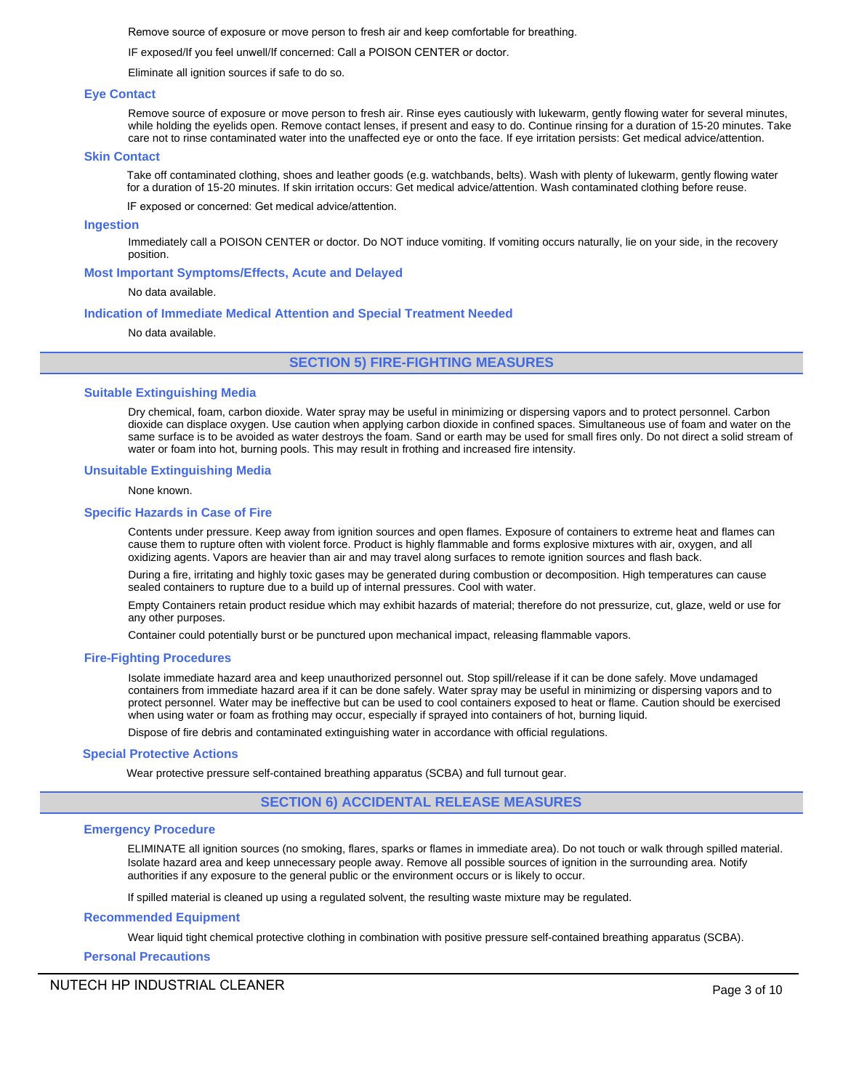Remove source of exposure or move person to fresh air and keep comfortable for breathing.

IF exposed/If you feel unwell/If concerned: Call a POISON CENTER or doctor.

Eliminate all ignition sources if safe to do so.

#### **Eye Contact**

Remove source of exposure or move person to fresh air. Rinse eyes cautiously with lukewarm, gently flowing water for several minutes, while holding the eyelids open. Remove contact lenses, if present and easy to do. Continue rinsing for a duration of 15-20 minutes. Take care not to rinse contaminated water into the unaffected eye or onto the face. If eye irritation persists: Get medical advice/attention.

#### **Skin Contact**

Take off contaminated clothing, shoes and leather goods (e.g. watchbands, belts). Wash with plenty of lukewarm, gently flowing water for a duration of 15-20 minutes. If skin irritation occurs: Get medical advice/attention. Wash contaminated clothing before reuse.

IF exposed or concerned: Get medical advice/attention.

#### **Ingestion**

Immediately call a POISON CENTER or doctor. Do NOT induce vomiting. If vomiting occurs naturally, lie on your side, in the recovery position.

#### **Most Important Symptoms/Effects, Acute and Delayed**

#### No data available.

#### **Indication of Immediate Medical Attention and Special Treatment Needed**

No data available.

**SECTION 5) FIRE-FIGHTING MEASURES**

#### **Suitable Extinguishing Media**

Dry chemical, foam, carbon dioxide. Water spray may be useful in minimizing or dispersing vapors and to protect personnel. Carbon dioxide can displace oxygen. Use caution when applying carbon dioxide in confined spaces. Simultaneous use of foam and water on the same surface is to be avoided as water destroys the foam. Sand or earth may be used for small fires only. Do not direct a solid stream of water or foam into hot, burning pools. This may result in frothing and increased fire intensity.

#### **Unsuitable Extinguishing Media**

#### None known.

#### **Specific Hazards in Case of Fire**

Contents under pressure. Keep away from ignition sources and open flames. Exposure of containers to extreme heat and flames can cause them to rupture often with violent force. Product is highly flammable and forms explosive mixtures with air, oxygen, and all oxidizing agents. Vapors are heavier than air and may travel along surfaces to remote ignition sources and flash back.

During a fire, irritating and highly toxic gases may be generated during combustion or decomposition. High temperatures can cause sealed containers to rupture due to a build up of internal pressures. Cool with water.

Empty Containers retain product residue which may exhibit hazards of material; therefore do not pressurize, cut, glaze, weld or use for any other purposes.

Container could potentially burst or be punctured upon mechanical impact, releasing flammable vapors.

#### **Fire-Fighting Procedures**

Isolate immediate hazard area and keep unauthorized personnel out. Stop spill/release if it can be done safely. Move undamaged containers from immediate hazard area if it can be done safely. Water spray may be useful in minimizing or dispersing vapors and to protect personnel. Water may be ineffective but can be used to cool containers exposed to heat or flame. Caution should be exercised when using water or foam as frothing may occur, especially if sprayed into containers of hot, burning liquid.

Dispose of fire debris and contaminated extinguishing water in accordance with official regulations.

#### **Special Protective Actions**

Wear protective pressure self-contained breathing apparatus (SCBA) and full turnout gear.

## **SECTION 6) ACCIDENTAL RELEASE MEASURES**

#### **Emergency Procedure**

ELIMINATE all ignition sources (no smoking, flares, sparks or flames in immediate area). Do not touch or walk through spilled material. Isolate hazard area and keep unnecessary people away. Remove all possible sources of ignition in the surrounding area. Notify authorities if any exposure to the general public or the environment occurs or is likely to occur.

If spilled material is cleaned up using a regulated solvent, the resulting waste mixture may be regulated.

#### **Recommended Equipment**

Wear liquid tight chemical protective clothing in combination with positive pressure self-contained breathing apparatus (SCBA).

## **Personal Precautions**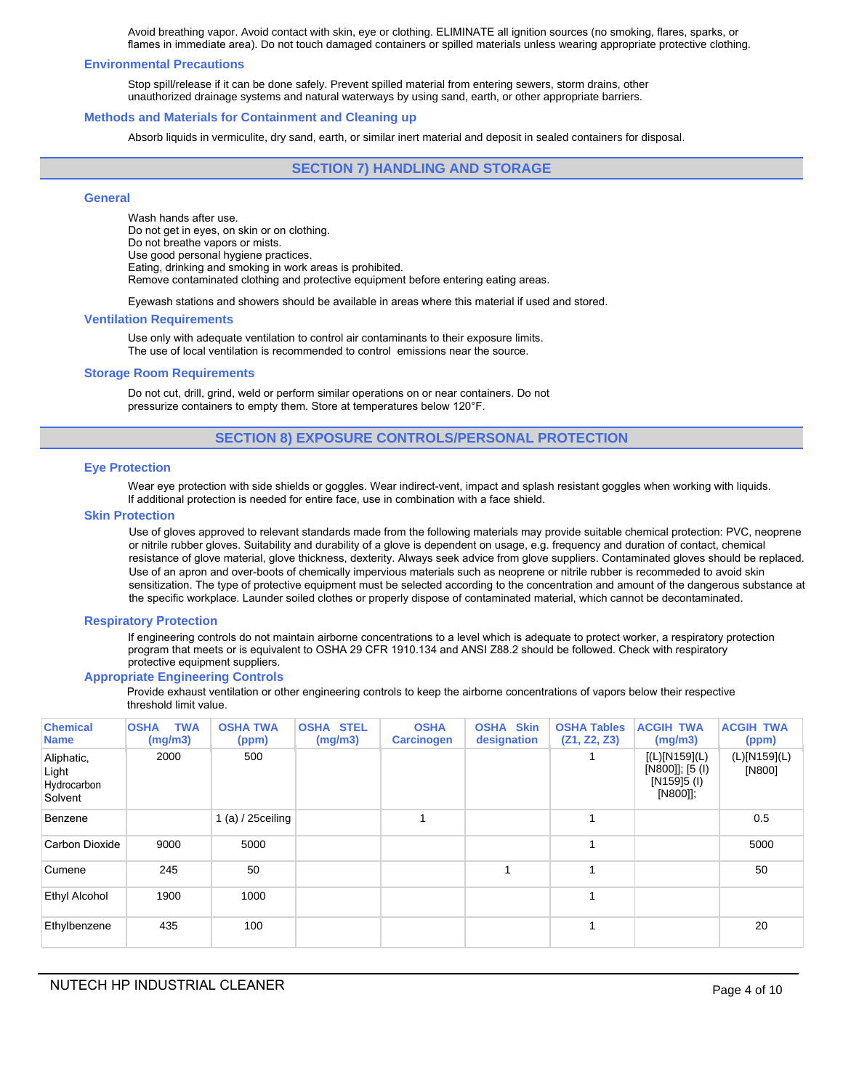Avoid breathing vapor. Avoid contact with skin, eye or clothing. ELIMINATE all ignition sources (no smoking, flares, sparks, or flames in immediate area). Do not touch damaged containers or spilled materials unless wearing appropriate protective clothing.

#### **Environmental Precautions**

Stop spill/release if it can be done safely. Prevent spilled material from entering sewers, storm drains, other unauthorized drainage systems and natural waterways by using sand, earth, or other appropriate barriers.

#### **Methods and Materials for Containment and Cleaning up**

Absorb liquids in vermiculite, dry sand, earth, or similar inert material and deposit in sealed containers for disposal.

## **SECTION 7) HANDLING AND STORAGE**

## **General**

Wash hands after use. Do not get in eyes, on skin or on clothing. Do not breathe vapors or mists. Use good personal hygiene practices. Eating, drinking and smoking in work areas is prohibited. Remove contaminated clothing and protective equipment before entering eating areas.

Eyewash stations and showers should be available in areas where this material if used and stored.

#### **Ventilation Requirements**

Use only with adequate ventilation to control air contaminants to their exposure limits. The use of local ventilation is recommended to control emissions near the source.

#### **Storage Room Requirements**

Do not cut, drill, grind, weld or perform similar operations on or near containers. Do not pressurize containers to empty them. Store at temperatures below 120°F.

## **SECTION 8) EXPOSURE CONTROLS/PERSONAL PROTECTION**

#### **Eye Protection**

Wear eye protection with side shields or goggles. Wear indirect-vent, impact and splash resistant goggles when working with liquids. If additional protection is needed for entire face, use in combination with a face shield.

#### **Skin Protection**

Use of gloves approved to relevant standards made from the following materials may provide suitable chemical protection: PVC, neoprene or nitrile rubber gloves. Suitability and durability of a glove is dependent on usage, e.g. frequency and duration of contact, chemical resistance of glove material, glove thickness, dexterity. Always seek advice from glove suppliers. Contaminated gloves should be replaced. Use of an apron and over-boots of chemically impervious materials such as neoprene or nitrile rubber is recommeded to avoid skin sensitization. The type of protective equipment must be selected according to the concentration and amount of the dangerous substance at the specific workplace. Launder soiled clothes or properly dispose of contaminated material, which cannot be decontaminated.

#### **Respiratory Protection**

If engineering controls do not maintain airborne concentrations to a level which is adequate to protect worker, a respiratory protection program that meets or is equivalent to OSHA 29 CFR 1910.134 and ANSI Z88.2 should be followed. Check with respiratory protective equipment suppliers.

#### **Appropriate Engineering Controls**

Provide exhaust ventilation or other engineering controls to keep the airborne concentrations of vapors below their respective threshold limit value.

| <b>Chemical</b><br><b>Name</b>                | <b>TWA</b><br><b>OSHA</b><br>(mg/m3) | <b>OSHA TWA</b><br>(ppm) | <b>OSHA STEL</b><br>(mg/m3) | <b>OSHA</b><br><b>Carcinogen</b> | <b>OSHA Skin</b><br>designation | <b>OSHA Tables</b><br>(Z1, Z2, Z3) | <b>ACGIH TWA</b><br>(mg/m3)                                 | <b>ACGIH TWA</b><br>(ppm) |
|-----------------------------------------------|--------------------------------------|--------------------------|-----------------------------|----------------------------------|---------------------------------|------------------------------------|-------------------------------------------------------------|---------------------------|
| Aliphatic,<br>Light<br>Hydrocarbon<br>Solvent | 2000                                 | 500                      |                             |                                  |                                 |                                    | [(L)[N159](L)<br>[N800]]; [5 (I)<br>[N159]5 (I)<br>[N800]]; | (L)[N159](L)<br>[N800]    |
| Benzene                                       |                                      | 1 $(a) / 25$ ceiling     |                             |                                  |                                 | 1                                  |                                                             | 0.5                       |
| Carbon Dioxide                                | 9000                                 | 5000                     |                             |                                  |                                 | 1                                  |                                                             | 5000                      |
| Cumene                                        | 245                                  | 50                       |                             |                                  | и                               | 1                                  |                                                             | 50                        |
| Ethyl Alcohol                                 | 1900                                 | 1000                     |                             |                                  |                                 | 1                                  |                                                             |                           |
| Ethylbenzene                                  | 435                                  | 100                      |                             |                                  |                                 | 1                                  |                                                             | 20                        |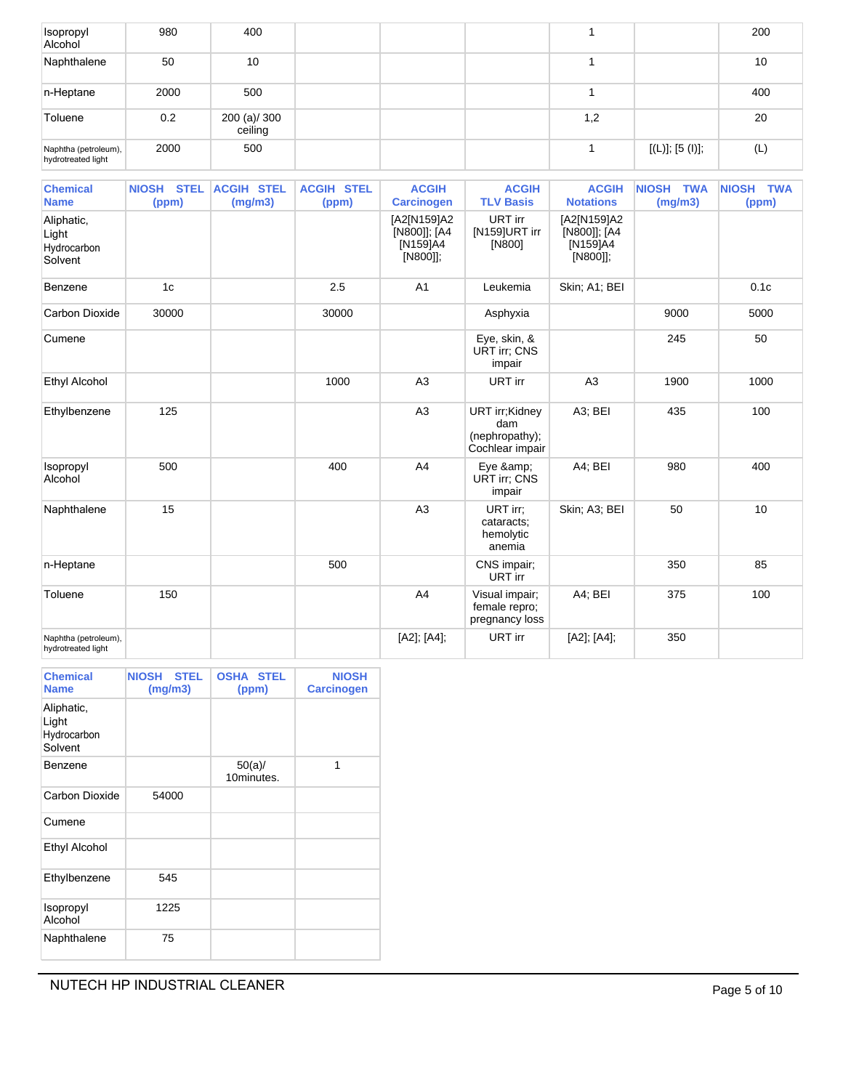| Isopropyl<br>Alcohol                       | 980  | 400                     |  |     |                 | 200 |
|--------------------------------------------|------|-------------------------|--|-----|-----------------|-----|
| Naphthalene                                | 50   | 10                      |  |     |                 | 10  |
| n-Heptane                                  | 2000 | 500                     |  |     |                 | 400 |
| Toluene                                    | 0.2  | 200 (a)/ 300<br>ceiling |  | 1,2 |                 | 20  |
| Naphtha (petroleum),<br>hydrotreated light | 2000 | 500                     |  |     | [(L)]; [5 (I)]; | (L) |

| <b>Chemical</b><br><b>Name</b>                | NIOSH STEL<br>(ppm) | <b>ACGIH STEL</b><br>(mg/m3) | <b>ACGIH STEL</b><br>(ppm) | <b>ACGIH</b><br><b>Carcinogen</b>                   | <b>ACGIH</b><br><b>TLV Basis</b>                           | <b>ACGIH</b><br><b>Notations</b>                    | <b>NIOSH TWA</b><br>(mg/m3) | NIOSH TWA<br>(ppm) |
|-----------------------------------------------|---------------------|------------------------------|----------------------------|-----------------------------------------------------|------------------------------------------------------------|-----------------------------------------------------|-----------------------------|--------------------|
| Aliphatic,<br>Light<br>Hydrocarbon<br>Solvent |                     |                              |                            | [A2[N159]A2<br>[N800]]; [A4<br>[N159]A4<br>[N800]]; | URT irr<br>[N159]URT irr<br>[N800]                         | [A2[N159]A2<br>[N800]]; [A4<br>[N159]A4<br>[N800]]; |                             |                    |
| Benzene                                       | 1 <sub>c</sub>      |                              | 2.5                        | A <sub>1</sub>                                      | Leukemia                                                   | Skin; A1; BEI                                       |                             | 0.1c               |
| <b>Carbon Dioxide</b>                         | 30000               |                              | 30000                      |                                                     | Asphyxia                                                   |                                                     | 9000                        | 5000               |
| Cumene                                        |                     |                              |                            |                                                     | Eye, skin, &<br><b>URT irr</b> ; CNS<br>impair             |                                                     | 245                         | 50                 |
| <b>Ethyl Alcohol</b>                          |                     |                              | 1000                       | A3                                                  | URT irr                                                    | A3                                                  | 1900                        | 1000               |
| Ethylbenzene                                  | 125                 |                              |                            | A3                                                  | URT irr;Kidney<br>dam<br>(nephropathy);<br>Cochlear impair | A3; BEI                                             | 435                         | 100                |
| Isopropyl<br>Alcohol                          | 500                 |                              | 400                        | A4                                                  | Eye &<br><b>URT irr: CNS</b><br>impair                     | A4; BEI                                             | 980                         | 400                |
| Naphthalene                                   | 15                  |                              |                            | A3                                                  | URT irr:<br>cataracts;<br>hemolytic<br>anemia              | Skin; A3; BEI                                       | 50                          | 10                 |
| n-Heptane                                     |                     |                              | 500                        |                                                     | CNS impair;<br>URT irr                                     |                                                     | 350                         | 85                 |
| Toluene                                       | 150                 |                              |                            | A4                                                  | Visual impair;<br>female repro;<br>pregnancy loss          | A4; BEI                                             | 375                         | 100                |
| Naphtha (petroleum),<br>hydrotreated light    |                     |                              |                            | [A2]; [A4];                                         | URT irr                                                    | [A2]; [A4];                                         | 350                         |                    |

| <b>Chemical</b><br><b>Name</b>                | <b>NIOSH</b><br><b>STEL</b><br>(mg/m3) | <b>OSHA STEL</b><br>(ppm) | <b>NIOSH</b><br><b>Carcinogen</b> |
|-----------------------------------------------|----------------------------------------|---------------------------|-----------------------------------|
| Aliphatic,<br>Light<br>Hydrocarbon<br>Solvent |                                        |                           |                                   |
| Benzene                                       |                                        | 50(a)/<br>10minutes.      | 1                                 |
| Carbon Dioxide                                | 54000                                  |                           |                                   |
| Cumene                                        |                                        |                           |                                   |
| <b>Ethyl Alcohol</b>                          |                                        |                           |                                   |
| Ethylbenzene                                  | 545                                    |                           |                                   |
| Isopropyl<br>Alcohol                          | 1225                                   |                           |                                   |
| Naphthalene                                   | 75                                     |                           |                                   |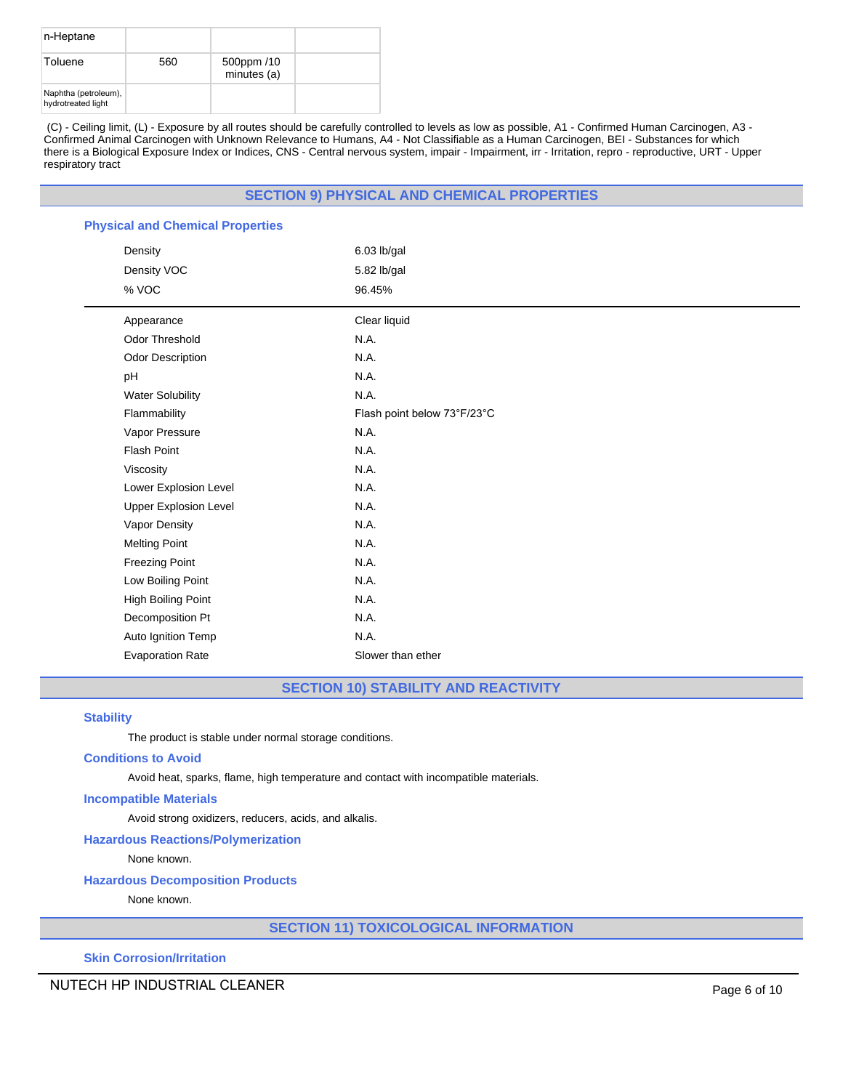| n-Heptane                                  |     |                           |  |
|--------------------------------------------|-----|---------------------------|--|
| Toluene                                    | 560 | 500ppm /10<br>minutes (a) |  |
| Naphtha (petroleum),<br>hydrotreated light |     |                           |  |

(C) - Ceiling limit, (L) - Exposure by all routes should be carefully controlled to levels as low as possible, A1 - Confirmed Human Carcinogen, A3 - Confirmed Animal Carcinogen with Unknown Relevance to Humans, A4 - Not Classifiable as a Human Carcinogen, BEI - Substances for which there is a Biological Exposure Index or Indices, CNS - Central nervous system, impair - Impairment, irr - Irritation, repro - reproductive, URT - Upper respiratory tract

## **SECTION 9) PHYSICAL AND CHEMICAL PROPERTIES**

| <b>Physical and Chemical Properties</b> |                             |  |  |  |  |
|-----------------------------------------|-----------------------------|--|--|--|--|
| Density                                 | 6.03 lb/gal                 |  |  |  |  |
| Density VOC                             | 5.82 lb/gal                 |  |  |  |  |
| % VOC                                   | 96.45%                      |  |  |  |  |
| Appearance                              | Clear liquid                |  |  |  |  |
| Odor Threshold                          | N.A.                        |  |  |  |  |
| <b>Odor Description</b>                 | N.A.                        |  |  |  |  |
| pH                                      | N.A.                        |  |  |  |  |
| <b>Water Solubility</b>                 | N.A.                        |  |  |  |  |
| Flammability                            | Flash point below 73°F/23°C |  |  |  |  |
| Vapor Pressure                          | N.A.                        |  |  |  |  |
| <b>Flash Point</b>                      | N.A.                        |  |  |  |  |
| Viscosity                               | N.A.                        |  |  |  |  |
| Lower Explosion Level                   | N.A.                        |  |  |  |  |
| <b>Upper Explosion Level</b>            | N.A.                        |  |  |  |  |
| Vapor Density                           | N.A.                        |  |  |  |  |
| <b>Melting Point</b>                    | N.A.                        |  |  |  |  |
| <b>Freezing Point</b>                   | N.A.                        |  |  |  |  |
| Low Boiling Point                       | N.A.                        |  |  |  |  |
| High Boiling Point                      | N.A.                        |  |  |  |  |
| Decomposition Pt                        | N.A.                        |  |  |  |  |
| Auto Ignition Temp                      | N.A.                        |  |  |  |  |
| <b>Evaporation Rate</b>                 | Slower than ether           |  |  |  |  |

**SECTION 10) STABILITY AND REACTIVITY**

## **Stability**

The product is stable under normal storage conditions.

#### **Conditions to Avoid**

Avoid heat, sparks, flame, high temperature and contact with incompatible materials.

#### **Incompatible Materials**

Avoid strong oxidizers, reducers, acids, and alkalis.

# **Hazardous Reactions/Polymerization**

None known.

## **Hazardous Decomposition Products**

None known.

**SECTION 11) TOXICOLOGICAL INFORMATION**

**Skin Corrosion/Irritation**

NUTECH HP INDUSTRIAL CLEANER **Page 6 of 10**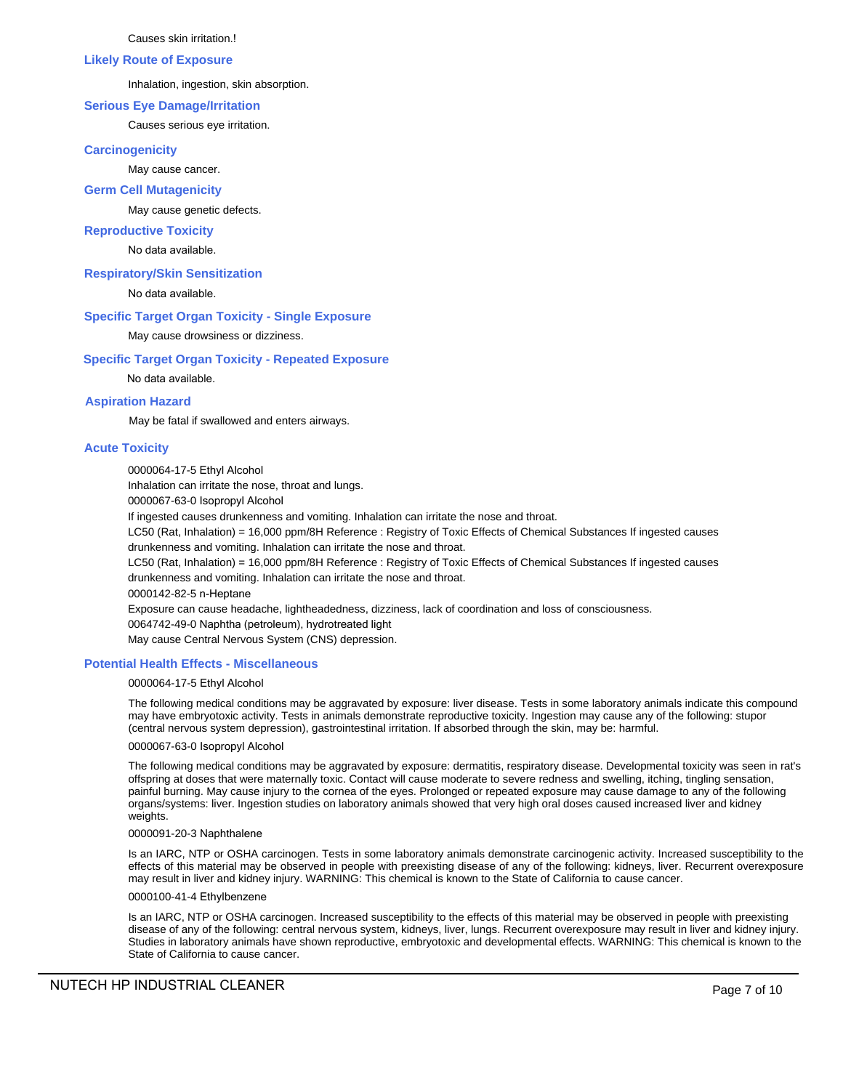Causes skin irritation.!

#### **Likely Route of Exposure**

Inhalation, ingestion, skin absorption.

## **Serious Eye Damage/Irritation**

Causes serious eye irritation.

## **Carcinogenicity**

May cause cancer.

## **Germ Cell Mutagenicity**

May cause genetic defects.

## **Reproductive Toxicity**

No data available.

## **Respiratory/Skin Sensitization**

No data available.

# **Specific Target Organ Toxicity - Single Exposure**

May cause drowsiness or dizziness.

## **Specific Target Organ Toxicity - Repeated Exposure**

No data available.

## **Aspiration Hazard**

May be fatal if swallowed and enters airways.

## **Acute Toxicity**

0000064-17-5 Ethyl Alcohol

Inhalation can irritate the nose, throat and lungs.

0000067-63-0 Isopropyl Alcohol

If ingested causes drunkenness and vomiting. Inhalation can irritate the nose and throat.

LC50 (Rat, Inhalation) = 16,000 ppm/8H Reference : Registry of Toxic Effects of Chemical Substances If ingested causes drunkenness and vomiting. Inhalation can irritate the nose and throat.

LC50 (Rat, Inhalation) = 16,000 ppm/8H Reference : Registry of Toxic Effects of Chemical Substances If ingested causes

drunkenness and vomiting. Inhalation can irritate the nose and throat.

0000142-82-5 n-Heptane

Exposure can cause headache, lightheadedness, dizziness, lack of coordination and loss of consciousness.

0064742-49-0 Naphtha (petroleum), hydrotreated light

May cause Central Nervous System (CNS) depression.

## **Potential Health Effects - Miscellaneous**

## 0000064-17-5 Ethyl Alcohol

The following medical conditions may be aggravated by exposure: liver disease. Tests in some laboratory animals indicate this compound may have embryotoxic activity. Tests in animals demonstrate reproductive toxicity. Ingestion may cause any of the following: stupor (central nervous system depression), gastrointestinal irritation. If absorbed through the skin, may be: harmful.

## 0000067-63-0 Isopropyl Alcohol

The following medical conditions may be aggravated by exposure: dermatitis, respiratory disease. Developmental toxicity was seen in rat's offspring at doses that were maternally toxic. Contact will cause moderate to severe redness and swelling, itching, tingling sensation, painful burning. May cause injury to the cornea of the eyes. Prolonged or repeated exposure may cause damage to any of the following organs/systems: liver. Ingestion studies on laboratory animals showed that very high oral doses caused increased liver and kidney weights.

## 0000091-20-3 Naphthalene

Is an IARC, NTP or OSHA carcinogen. Tests in some laboratory animals demonstrate carcinogenic activity. Increased susceptibility to the effects of this material may be observed in people with preexisting disease of any of the following: kidneys, liver. Recurrent overexposure may result in liver and kidney injury. WARNING: This chemical is known to the State of California to cause cancer.

## 0000100-41-4 Ethylbenzene

Is an IARC, NTP or OSHA carcinogen. Increased susceptibility to the effects of this material may be observed in people with preexisting disease of any of the following: central nervous system, kidneys, liver, lungs. Recurrent overexposure may result in liver and kidney injury. Studies in laboratory animals have shown reproductive, embryotoxic and developmental effects. WARNING: This chemical is known to the State of California to cause cancer.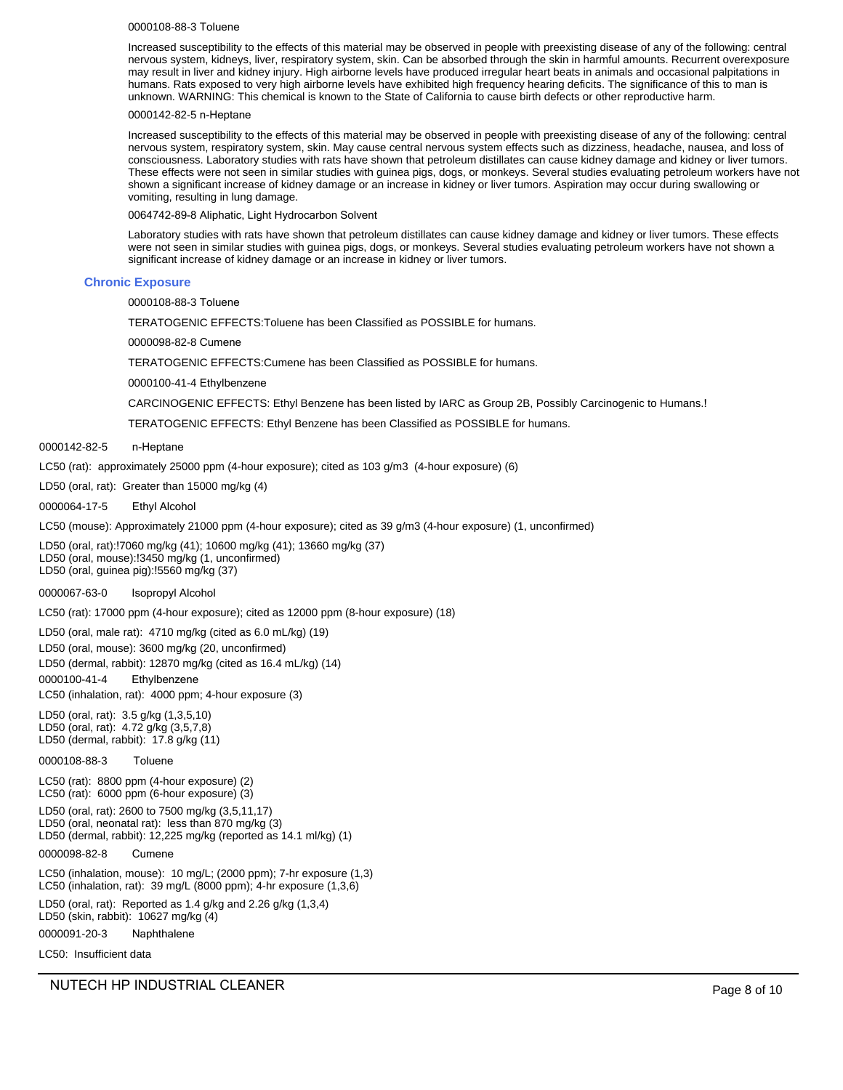#### 0000108-88-3 Toluene

Increased susceptibility to the effects of this material may be observed in people with preexisting disease of any of the following: central nervous system, kidneys, liver, respiratory system, skin. Can be absorbed through the skin in harmful amounts. Recurrent overexposure may result in liver and kidney injury. High airborne levels have produced irregular heart beats in animals and occasional palpitations in humans. Rats exposed to very high airborne levels have exhibited high frequency hearing deficits. The significance of this to man is unknown. WARNING: This chemical is known to the State of California to cause birth defects or other reproductive harm.

#### 0000142-82-5 n-Heptane

Increased susceptibility to the effects of this material may be observed in people with preexisting disease of any of the following: central nervous system, respiratory system, skin. May cause central nervous system effects such as dizziness, headache, nausea, and loss of consciousness. Laboratory studies with rats have shown that petroleum distillates can cause kidney damage and kidney or liver tumors. These effects were not seen in similar studies with guinea pigs, dogs, or monkeys. Several studies evaluating petroleum workers have not shown a significant increase of kidney damage or an increase in kidney or liver tumors. Aspiration may occur during swallowing or vomiting, resulting in lung damage.

0064742-89-8 Aliphatic, Light Hydrocarbon Solvent

Laboratory studies with rats have shown that petroleum distillates can cause kidney damage and kidney or liver tumors. These effects were not seen in similar studies with guinea pigs, dogs, or monkeys. Several studies evaluating petroleum workers have not shown a significant increase of kidney damage or an increase in kidney or liver tumors.

#### **Chronic Exposure**

0000108-88-3 Toluene

TERATOGENIC EFFECTS:Toluene has been Classified as POSSIBLE for humans.

0000098-82-8 Cumene

TERATOGENIC EFFECTS:Cumene has been Classified as POSSIBLE for humans.

0000100-41-4 Ethylbenzene

CARCINOGENIC EFFECTS: Ethyl Benzene has been listed by IARC as Group 2B, Possibly Carcinogenic to Humans.!

TERATOGENIC EFFECTS: Ethyl Benzene has been Classified as POSSIBLE for humans.

0000142-82-5 n-Heptane

LC50 (rat): approximately 25000 ppm (4-hour exposure); cited as 103 g/m3 (4-hour exposure) (6)

LD50 (oral, rat): Greater than 15000 mg/kg (4)

0000064-17-5 Ethyl Alcohol

LC50 (mouse): Approximately 21000 ppm (4-hour exposure); cited as 39 g/m3 (4-hour exposure) (1, unconfirmed)

LD50 (oral, rat):!7060 mg/kg (41); 10600 mg/kg (41); 13660 mg/kg (37) LD50 (oral, mouse):!3450 mg/kg (1, unconfirmed) LD50 (oral, guinea pig):!5560 mg/kg (37)

0000067-63-0 Isopropyl Alcohol

LC50 (rat): 17000 ppm (4-hour exposure); cited as 12000 ppm (8-hour exposure) (18)

LD50 (oral, male rat): 4710 mg/kg (cited as 6.0 mL/kg) (19) LD50 (oral, mouse): 3600 mg/kg (20, unconfirmed) LD50 (dermal, rabbit): 12870 mg/kg (cited as 16.4 mL/kg) (14) 0000100-41-4 Ethylbenzene LC50 (inhalation, rat): 4000 ppm; 4-hour exposure (3)

LD50 (oral, rat): 3.5 g/kg (1,3,5,10) LD50 (oral, rat): 4.72 g/kg (3,5,7,8) LD50 (dermal, rabbit): 17.8 g/kg (11)

0000108-88-3 Toluene

LC50 (rat): 8800 ppm (4-hour exposure) (2) LC50 (rat): 6000 ppm (6-hour exposure) (3)

LD50 (oral, rat): 2600 to 7500 mg/kg (3,5,11,17) LD50 (oral, neonatal rat): less than 870 mg/kg (3)

LD50 (dermal, rabbit): 12,225 mg/kg (reported as 14.1 ml/kg) (1)

0000098-82-8 Cumene

LC50 (inhalation, mouse): 10 mg/L; (2000 ppm); 7-hr exposure (1,3) LC50 (inhalation, rat): 39 mg/L (8000 ppm); 4-hr exposure (1,3,6)

LD50 (oral, rat): Reported as 1.4 g/kg and 2.26 g/kg (1,3,4) LD50 (skin, rabbit): 10627 mg/kg (4)

**Naphthalene** 0000091-20-3

LC50: Insufficient data

NUTECH HP INDUSTRIAL CLEANER **Page 8 of 10**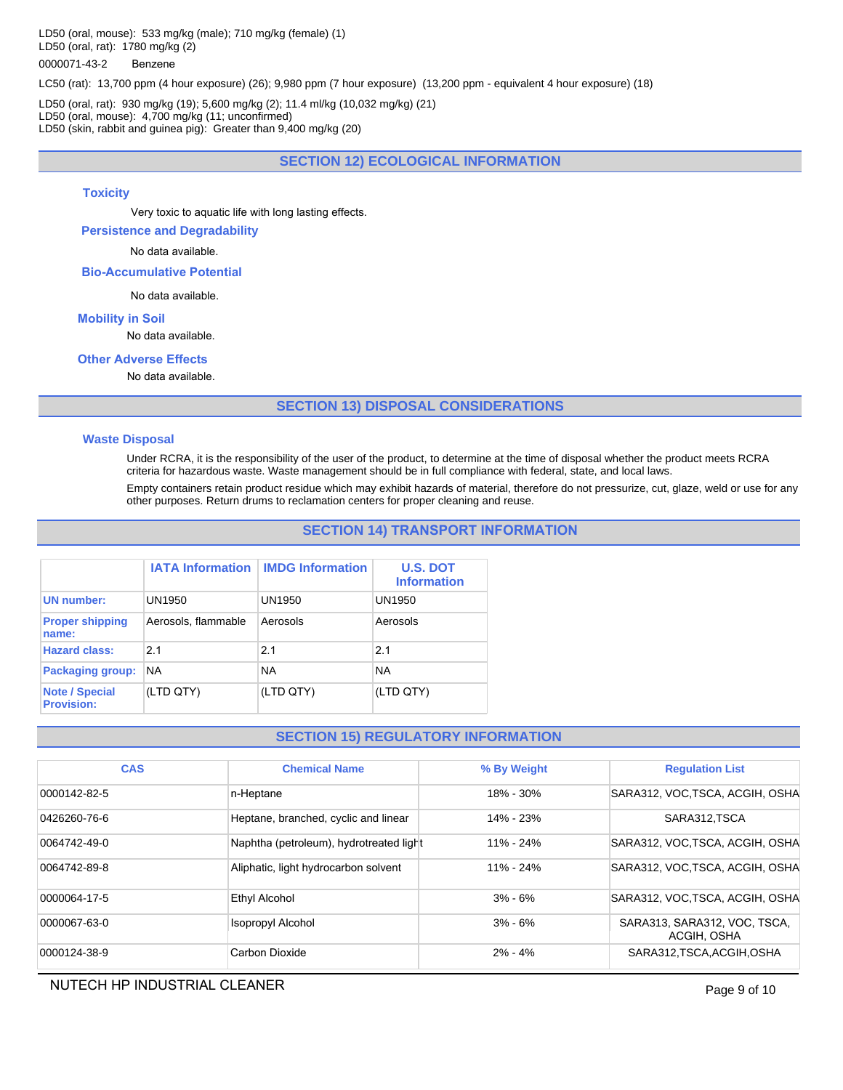LD50 (oral, mouse): 533 mg/kg (male); 710 mg/kg (female) (1) LD50 (oral, rat): 1780 mg/kg (2)

## 0000071-43-2 Benzene

LC50 (rat): 13,700 ppm (4 hour exposure) (26); 9,980 ppm (7 hour exposure) (13,200 ppm - equivalent 4 hour exposure) (18)

LD50 (oral, rat): 930 mg/kg (19); 5,600 mg/kg (2); 11.4 ml/kg (10,032 mg/kg) (21) LD50 (oral, mouse): 4,700 mg/kg (11; unconfirmed) LD50 (skin, rabbit and guinea pig): Greater than 9,400 mg/kg (20)

# **SECTION 12) ECOLOGICAL INFORMATION**

## **Toxicity**

Very toxic to aquatic life with long lasting effects.

**Persistence and Degradability**

No data available.

**Bio-Accumulative Potential**

No data available.

## **Mobility in Soil**

No data available.

# **Other Adverse Effects**

No data available.

## **SECTION 13) DISPOSAL CONSIDERATIONS**

#### **Waste Disposal**

Under RCRA, it is the responsibility of the user of the product, to determine at the time of disposal whether the product meets RCRA criteria for hazardous waste. Waste management should be in full compliance with federal, state, and local laws.

Empty containers retain product residue which may exhibit hazards of material, therefore do not pressurize, cut, glaze, weld or use for any other purposes. Return drums to reclamation centers for proper cleaning and reuse.

## **SECTION 14) TRANSPORT INFORMATION**

|                                            |                     | <b>IATA Information   IMDG Information</b> | <b>U.S. DOT</b><br><b>Information</b> |
|--------------------------------------------|---------------------|--------------------------------------------|---------------------------------------|
| <b>UN</b> number:                          | UN1950              | UN1950                                     | UN1950                                |
| <b>Proper shipping</b><br>name:            | Aerosols, flammable | Aerosols                                   | Aerosols                              |
| <b>Hazard class:</b>                       | 21                  | 21                                         | 21                                    |
| Packaging group:                           | <b>NA</b>           | <b>NA</b>                                  | <b>NA</b>                             |
| <b>Note / Special</b><br><b>Provision:</b> | (LTD QTY)           | (LTD QTY)                                  | (LTD QTY)                             |

## **SECTION 15) REGULATORY INFORMATION**

| <b>CAS</b>   | <b>Chemical Name</b>                    | % By Weight   | <b>Regulation List</b>                      |
|--------------|-----------------------------------------|---------------|---------------------------------------------|
| 0000142-82-5 | n-Heptane                               | $18\% - 30\%$ | SARA312, VOC, TSCA, ACGIH, OSHA             |
| 0426260-76-6 | Heptane, branched, cyclic and linear    | $14\% - 23\%$ | SARA312.TSCA                                |
| 0064742-49-0 | Naphtha (petroleum), hydrotreated light | 11% - 24%     | SARA312, VOC, TSCA, ACGIH, OSHA             |
| 0064742-89-8 | Aliphatic, light hydrocarbon solvent    | 11% - 24%     | SARA312, VOC.TSCA, ACGIH, OSHA              |
| 0000064-17-5 | Ethyl Alcohol                           | $3% - 6%$     | SARA312, VOC, TSCA, ACGIH, OSHA             |
| 0000067-63-0 | <b>Isopropyl Alcohol</b>                | $3% - 6%$     | SARA313, SARA312, VOC, TSCA,<br>ACGIH, OSHA |
| 0000124-38-9 | Carbon Dioxide                          | $2\% - 4\%$   | SARA312, TSCA, ACGIH, OSHA                  |

# NUTECH HP INDUSTRIAL CLEANER **Page 9 of 10**